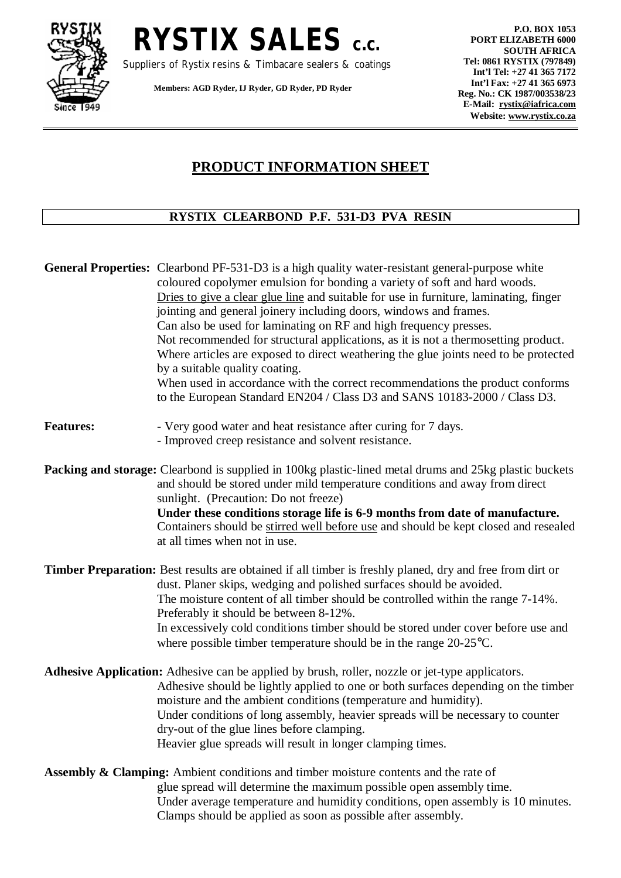

**RYSTIX SALES c.c.** 

Suppliers of Rystix resins & Timbacare sealers & coatings

**Members: AGD Ryder, IJ Ryder, GD Ryder, PD Ryder** 

**P.O. BOX 1053 PORT ELIZABETH 6000 SOUTH AFRICA Tel: 0861 RYSTIX (797849) Int'l Tel: +27 41 365 7172 Int'l Fax: +27 41 365 6973 Reg. No.: CK 1987/003538/23 E-Mail: [rystix@iafrica.com](mailto:rystix@iafrica.com) Website: [www.rystix.co.za](http://www.rystix.co.za)**

## **PRODUCT INFORMATION SHEET**

## **RYSTIX CLEARBOND P.F. 531-D3 PVA RESIN**

|                  | General Properties: Clearbond PF-531-D3 is a high quality water-resistant general-purpose white<br>coloured copolymer emulsion for bonding a variety of soft and hard woods.<br>Dries to give a clear glue line and suitable for use in furniture, laminating, finger<br>jointing and general joinery including doors, windows and frames.<br>Can also be used for laminating on RF and high frequency presses.<br>Not recommended for structural applications, as it is not a thermosetting product.<br>Where articles are exposed to direct weathering the glue joints need to be protected<br>by a suitable quality coating.<br>When used in accordance with the correct recommendations the product conforms<br>to the European Standard EN204 / Class D3 and SANS 10183-2000 / Class D3. |
|------------------|-----------------------------------------------------------------------------------------------------------------------------------------------------------------------------------------------------------------------------------------------------------------------------------------------------------------------------------------------------------------------------------------------------------------------------------------------------------------------------------------------------------------------------------------------------------------------------------------------------------------------------------------------------------------------------------------------------------------------------------------------------------------------------------------------|
| <b>Features:</b> | - Very good water and heat resistance after curing for 7 days.<br>- Improved creep resistance and solvent resistance.                                                                                                                                                                                                                                                                                                                                                                                                                                                                                                                                                                                                                                                                         |
|                  | <b>Packing and storage:</b> Clearbond is supplied in 100kg plastic-lined metal drums and 25kg plastic buckets<br>and should be stored under mild temperature conditions and away from direct<br>sunlight. (Precaution: Do not freeze)<br>Under these conditions storage life is 6-9 months from date of manufacture.<br>Containers should be stirred well before use and should be kept closed and resealed<br>at all times when not in use.                                                                                                                                                                                                                                                                                                                                                  |
|                  | <b>Timber Preparation:</b> Best results are obtained if all timber is freshly planed, dry and free from dirt or<br>dust. Planer skips, wedging and polished surfaces should be avoided.<br>The moisture content of all timber should be controlled within the range 7-14%.<br>Preferably it should be between 8-12%.<br>In excessively cold conditions timber should be stored under cover before use and<br>where possible timber temperature should be in the range $20-25^{\circ}$ C.                                                                                                                                                                                                                                                                                                      |
|                  | Adhesive Application: Adhesive can be applied by brush, roller, nozzle or jet-type applicators.<br>Adhesive should be lightly applied to one or both surfaces depending on the timber<br>moisture and the ambient conditions (temperature and humidity).<br>Under conditions of long assembly, heavier spreads will be necessary to counter<br>dry-out of the glue lines before clamping.<br>Heavier glue spreads will result in longer clamping times.                                                                                                                                                                                                                                                                                                                                       |
|                  | <b>Assembly &amp; Clamping:</b> Ambient conditions and timber moisture contents and the rate of<br>glue spread will determine the maximum possible open assembly time.<br>Under average temperature and humidity conditions, open assembly is 10 minutes.<br>Clamps should be applied as soon as possible after assembly.                                                                                                                                                                                                                                                                                                                                                                                                                                                                     |